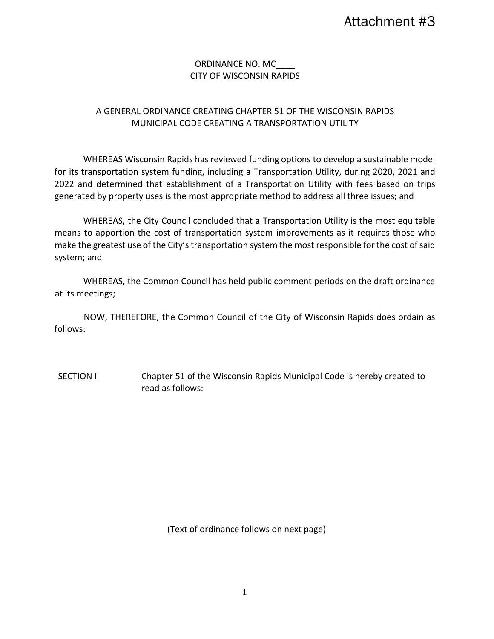# ORDINANCE NO. MC\_\_\_\_ CITY OF WISCONSIN RAPIDS

# A GENERAL ORDINANCE CREATING CHAPTER 51 OF THE WISCONSIN RAPIDS MUNICIPAL CODE CREATING A TRANSPORTATION UTILITY

WHEREAS Wisconsin Rapids has reviewed funding options to develop a sustainable model for its transportation system funding, including a Transportation Utility, during 2020, 2021 and 2022 and determined that establishment of a Transportation Utility with fees based on trips generated by property uses is the most appropriate method to address all three issues; and

WHEREAS, the City Council concluded that a Transportation Utility is the most equitable means to apportion the cost of transportation system improvements as it requires those who make the greatest use of the City's transportation system the most responsible for the cost of said system; and

WHEREAS, the Common Council has held public comment periods on the draft ordinance at its meetings;

NOW, THEREFORE, the Common Council of the City of Wisconsin Rapids does ordain as follows:

SECTION I Chapter 51 of the Wisconsin Rapids Municipal Code is hereby created to read as follows:

(Text of ordinance follows on next page)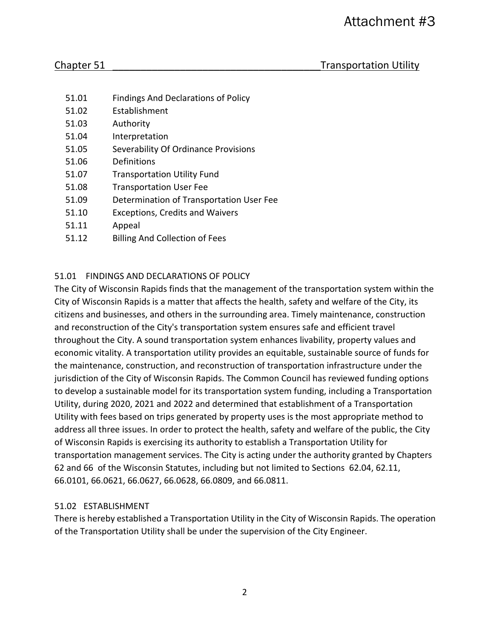- 51.01 Findings And Declarations of Policy
- 51.02 Establishment
- 51.03 Authority
- 51.04 Interpretation
- 51.05 Severability Of Ordinance Provisions
- 51.06 Definitions
- 51.07 Transportation Utility Fund
- 51.08 Transportation User Fee
- 51.09 Determination of Transportation User Fee
- 51.10 Exceptions, Credits and Waivers
- 51.11 Appeal
- 51.12 Billing And Collection of Fees

### 51.01 FINDINGS AND DECLARATIONS OF POLICY

The City of Wisconsin Rapids finds that the management of the transportation system within the City of Wisconsin Rapids is a matter that affects the health, safety and welfare of the City, its citizens and businesses, and others in the surrounding area. Timely maintenance, construction and reconstruction of the City's transportation system ensures safe and efficient travel throughout the City. A sound transportation system enhances livability, property values and economic vitality. A transportation utility provides an equitable, sustainable source of funds for the maintenance, construction, and reconstruction of transportation infrastructure under the jurisdiction of the City of Wisconsin Rapids. The Common Council has reviewed funding options to develop a sustainable model for its transportation system funding, including a Transportation Utility, during 2020, 2021 and 2022 and determined that establishment of a Transportation Utility with fees based on trips generated by property uses is the most appropriate method to address all three issues. In order to protect the health, safety and welfare of the public, the City of Wisconsin Rapids is exercising its authority to establish a Transportation Utility for transportation management services. The City is acting under the authority granted by Chapters 62 and 66 of the Wisconsin Statutes, including but not limited to Sections 62.04, 62.11, 66.0101, 66.0621, 66.0627, 66.0628, 66.0809, and 66.0811.

#### 51.02 ESTABLISHMENT

There is hereby established a Transportation Utility in the City of Wisconsin Rapids. The operation of the Transportation Utility shall be under the supervision of the City Engineer.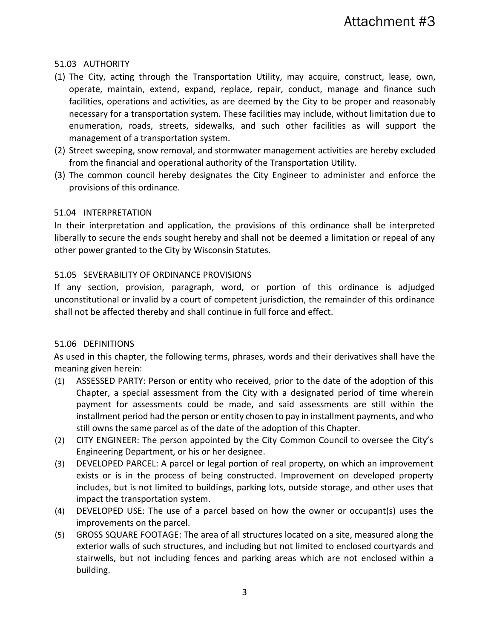# 51.03 AUTHORITY

- (1) The City, acting through the Transportation Utility, may acquire, construct, lease, own, operate, maintain, extend, expand, replace, repair, conduct, manage and finance such facilities, operations and activities, as are deemed by the City to be proper and reasonably necessary for a transportation system. These facilities may include, without limitation due to enumeration, roads, streets, sidewalks, and such other facilities as will support the management of a transportation system.
- (2) Street sweeping, snow removal, and stormwater management activities are hereby excluded from the financial and operational authority of the Transportation Utility.
- (3) The common council hereby designates the City Engineer to administer and enforce the provisions of this ordinance.

# 51.04 INTERPRETATION

In their interpretation and application, the provisions of this ordinance shall be interpreted liberally to secure the ends sought hereby and shall not be deemed a limitation or repeal of any other power granted to the City by Wisconsin Statutes.

# 51.05 SEVERABILITY OF ORDINANCE PROVISIONS

If any section, provision, paragraph, word, or portion of this ordinance is adjudged unconstitutional or invalid by a court of competent jurisdiction, the remainder of this ordinance shall not be affected thereby and shall continue in full force and effect.

# 51.06 DEFINITIONS

As used in this chapter, the following terms, phrases, words and their derivatives shall have the meaning given herein:

- (1) ASSESSED PARTY: Person or entity who received, prior to the date of the adoption of this Chapter, a special assessment from the City with a designated period of time wherein payment for assessments could be made, and said assessments are still within the installment period had the person or entity chosen to pay in installment payments, and who still owns the same parcel as of the date of the adoption of this Chapter.
- (2) CITY ENGINEER: The person appointed by the City Common Council to oversee the City's Engineering Department, or his or her designee.
- (3) DEVELOPED PARCEL: A parcel or legal portion of real property, on which an improvement exists or is in the process of being constructed. Improvement on developed property includes, but is not limited to buildings, parking lots, outside storage, and other uses that impact the transportation system.
- (4) DEVELOPED USE: The use of a parcel based on how the owner or occupant(s) uses the improvements on the parcel.
- (5) GROSS SQUARE FOOTAGE: The area of all structures located on a site, measured along the exterior walls of such structures, and including but not limited to enclosed courtyards and stairwells, but not including fences and parking areas which are not enclosed within a building.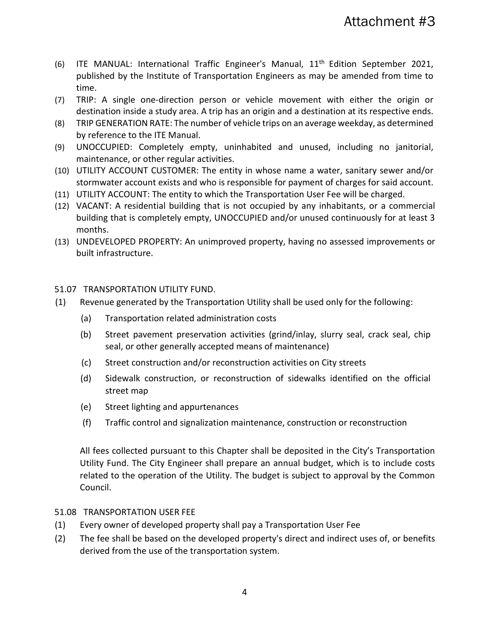- (6) ITE MANUAL: International Traffic Engineer's Manual, 11<sup>th</sup> Edition September 2021, published by the Institute of Transportation Engineers as may be amended from time to time.
- (7) TRIP: A single one-direction person or vehicle movement with either the origin or destination inside a study area. A trip has an origin and a destination at its respective ends.
- (8) TRIP GENERATION RATE: The number of vehicle trips on an average weekday, as determined by reference to the ITE Manual.
- (9) UNOCCUPIED: Completely empty, uninhabited and unused, including no janitorial, maintenance, or other regular activities.
- (10) UTILITY ACCOUNT CUSTOMER: The entity in whose name a water, sanitary sewer and/or stormwater account exists and who is responsible for payment of charges for said account.
- (11) UTILITY ACCOUNT: The entity to which the Transportation User Fee will be charged.
- (12) VACANT: A residential building that is not occupied by any inhabitants, or a commercial building that is completely empty, UNOCCUPIED and/or unused continuously for at least 3 months.
- (13) UNDEVELOPED PROPERTY: An unimproved property, having no assessed improvements or built infrastructure.

51.07 TRANSPORTATION UTILITY FUND.

- (1) Revenue generated by the Transportation Utility shall be used only for the following:
	- (a) Transportation related administration costs
	- (b) Street pavement preservation activities (grind/inlay, slurry seal, crack seal, chip seal, or other generally accepted means of maintenance)
	- (c) Street construction and/or reconstruction activities on City streets
	- (d) Sidewalk construction, or reconstruction of sidewalks identified on the official street map
	- (e) Street lighting and appurtenances
	- (f) Traffic control and signalization maintenance, construction or reconstruction

All fees collected pursuant to this Chapter shall be deposited in the City's Transportation Utility Fund. The City Engineer shall prepare an annual budget, which is to include costs related to the operation of the Utility. The budget is subject to approval by the Common Council.

#### 51.08 TRANSPORTATION USER FEE

- (1) Every owner of developed property shall pay a Transportation User Fee
- (2) The fee shall be based on the developed property's direct and indirect uses of, or benefits derived from the use of the transportation system.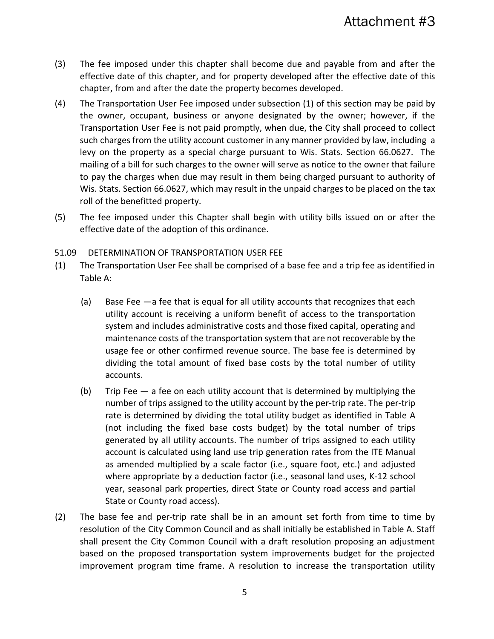- (3) The fee imposed under this chapter shall become due and payable from and after the effective date of this chapter, and for property developed after the effective date of this chapter, from and after the date the property becomes developed.
- (4) The Transportation User Fee imposed under subsection (1) of this section may be paid by the owner, occupant, business or anyone designated by the owner; however, if the Transportation User Fee is not paid promptly, when due, the City shall proceed to collect such charges from the utility account customer in any manner provided by law, including a levy on the property as a special charge pursuant to Wis. Stats. Section 66.0627. The mailing of a bill for such charges to the owner will serve as notice to the owner that failure to pay the charges when due may result in them being charged pursuant to authority of Wis. Stats. Section 66.0627, which may result in the unpaid charges to be placed on the tax roll of the benefitted property.
- (5) The fee imposed under this Chapter shall begin with utility bills issued on or after the effective date of the adoption of this ordinance.

### 51.09 DETERMINATION OF TRANSPORTATION USER FEE

- (1) The Transportation User Fee shall be comprised of a base fee and a trip fee as identified in Table A:
	- (a) Base Fee —a fee that is equal for all utility accounts that recognizes that each utility account is receiving a uniform benefit of access to the transportation system and includes administrative costs and those fixed capital, operating and maintenance costs of the transportation system that are not recoverable by the usage fee or other confirmed revenue source. The base fee is determined by dividing the total amount of fixed base costs by the total number of utility accounts.
	- (b) Trip Fee  $-$  a fee on each utility account that is determined by multiplying the number of trips assigned to the utility account by the per-trip rate. The per-trip rate is determined by dividing the total utility budget as identified in Table A (not including the fixed base costs budget) by the total number of trips generated by all utility accounts. The number of trips assigned to each utility account is calculated using land use trip generation rates from the ITE Manual as amended multiplied by a scale factor (i.e., square foot, etc.) and adjusted where appropriate by a deduction factor (i.e., seasonal land uses, K-12 school year, seasonal park properties, direct State or County road access and partial State or County road access).
- (2) The base fee and per-trip rate shall be in an amount set forth from time to time by resolution of the City Common Council and as shall initially be established in Table A. Staff shall present the City Common Council with a draft resolution proposing an adjustment based on the proposed transportation system improvements budget for the projected improvement program time frame. A resolution to increase the transportation utility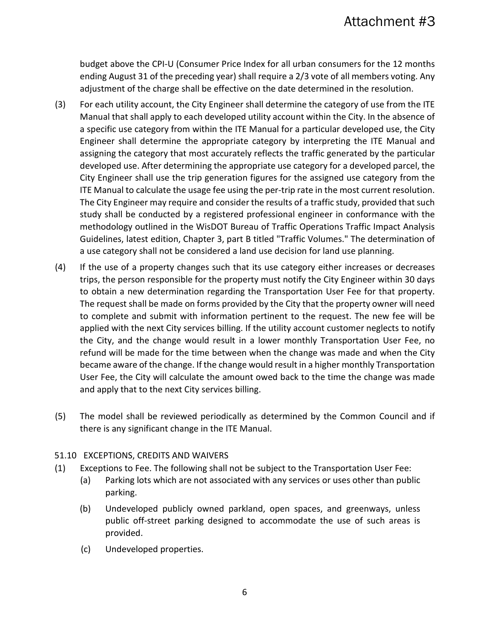budget above the CPI-U (Consumer Price Index for all urban consumers for the 12 months ending August 31 of the preceding year) shall require a 2/3 vote of all members voting. Any adjustment of the charge shall be effective on the date determined in the resolution.

- (3) For each utility account, the City Engineer shall determine the category of use from the ITE Manual that shall apply to each developed utility account within the City. In the absence of a specific use category from within the ITE Manual for a particular developed use, the City Engineer shall determine the appropriate category by interpreting the ITE Manual and assigning the category that most accurately reflects the traffic generated by the particular developed use. After determining the appropriate use category for a developed parcel, the City Engineer shall use the trip generation figures for the assigned use category from the ITE Manual to calculate the usage fee using the per-trip rate in the most current resolution. The City Engineer may require and consider the results of a traffic study, provided that such study shall be conducted by a registered professional engineer in conformance with the methodology outlined in the WisDOT Bureau of Traffic Operations Traffic Impact Analysis Guidelines, latest edition, Chapter 3, part B titled "Traffic Volumes." The determination of a use category shall not be considered a land use decision for land use planning.
- (4) If the use of a property changes such that its use category either increases or decreases trips, the person responsible for the property must notify the City Engineer within 30 days to obtain a new determination regarding the Transportation User Fee for that property. The request shall be made on forms provided by the City that the property owner will need to complete and submit with information pertinent to the request. The new fee will be applied with the next City services billing. If the utility account customer neglects to notify the City, and the change would result in a lower monthly Transportation User Fee, no refund will be made for the time between when the change was made and when the City became aware of the change. If the change would result in a higher monthly Transportation User Fee, the City will calculate the amount owed back to the time the change was made and apply that to the next City services billing.
- (5) The model shall be reviewed periodically as determined by the Common Council and if there is any significant change in the ITE Manual.

## 51.10 EXCEPTIONS, CREDITS AND WAIVERS

- (1) Exceptions to Fee. The following shall not be subject to the Transportation User Fee:
	- (a) Parking lots which are not associated with any services or uses other than public parking.
	- (b) Undeveloped publicly owned parkland, open spaces, and greenways, unless public off-street parking designed to accommodate the use of such areas is provided.
	- (c) Undeveloped properties.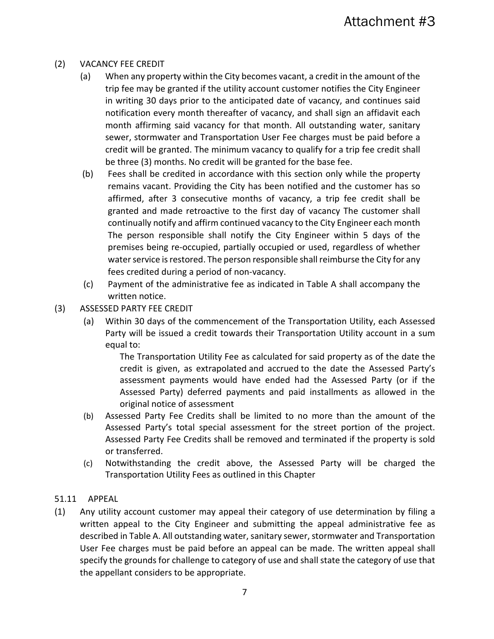## (2) VACANCY FEE CREDIT

- (a) When any property within the City becomes vacant, a credit in the amount of the trip fee may be granted if the utility account customer notifies the City Engineer in writing 30 days prior to the anticipated date of vacancy, and continues said notification every month thereafter of vacancy, and shall sign an affidavit each month affirming said vacancy for that month. All outstanding water, sanitary sewer, stormwater and Transportation User Fee charges must be paid before a credit will be granted. The minimum vacancy to qualify for a trip fee credit shall be three (3) months. No credit will be granted for the base fee.
- (b) Fees shall be credited in accordance with this section only while the property remains vacant. Providing the City has been notified and the customer has so affirmed, after 3 consecutive months of vacancy, a trip fee credit shall be granted and made retroactive to the first day of vacancy The customer shall continually notify and affirm continued vacancy to the City Engineer each month The person responsible shall notify the City Engineer within 5 days of the premises being re-occupied, partially occupied or used, regardless of whether water service is restored. The person responsible shall reimburse the City for any fees credited during a period of non-vacancy.
- (c) Payment of the administrative fee as indicated in Table A shall accompany the written notice.
- (3) ASSESSED PARTY FEE CREDIT
	- (a) Within 30 days of the commencement of the Transportation Utility, each Assessed Party will be issued a credit towards their Transportation Utility account in a sum equal to:

The Transportation Utility Fee as calculated for said property as of the date the credit is given, as extrapolated and accrued to the date the Assessed Party's assessment payments would have ended had the Assessed Party (or if the Assessed Party) deferred payments and paid installments as allowed in the original notice of assessment

- (b) Assessed Party Fee Credits shall be limited to no more than the amount of the Assessed Party's total special assessment for the street portion of the project. Assessed Party Fee Credits shall be removed and terminated if the property is sold or transferred.
- (c) Notwithstanding the credit above, the Assessed Party will be charged the Transportation Utility Fees as outlined in this Chapter

#### 51.11 APPEAL

(1) Any utility account customer may appeal their category of use determination by filing a written appeal to the City Engineer and submitting the appeal administrative fee as described in Table A. All outstanding water, sanitary sewer, stormwater and Transportation User Fee charges must be paid before an appeal can be made. The written appeal shall specify the grounds for challenge to category of use and shall state the category of use that the appellant considers to be appropriate.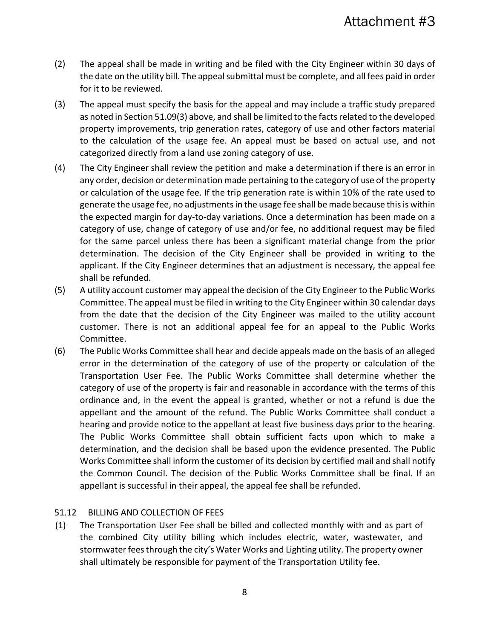- (2) The appeal shall be made in writing and be filed with the City Engineer within 30 days of the date on the utility bill. The appeal submittal must be complete, and all fees paid in order for it to be reviewed.
- (3) The appeal must specify the basis for the appeal and may include a traffic study prepared as noted in Section 51.09(3) above, and shall be limited to the facts related to the developed property improvements, trip generation rates, category of use and other factors material to the calculation of the usage fee. An appeal must be based on actual use, and not categorized directly from a land use zoning category of use.
- (4) The City Engineer shall review the petition and make a determination if there is an error in any order, decision or determination made pertaining to the category of use of the property or calculation of the usage fee. If the trip generation rate is within 10% of the rate used to generate the usage fee, no adjustments in the usage fee shall be made because this is within the expected margin for day-to-day variations. Once a determination has been made on a category of use, change of category of use and/or fee, no additional request may be filed for the same parcel unless there has been a significant material change from the prior determination. The decision of the City Engineer shall be provided in writing to the applicant. If the City Engineer determines that an adjustment is necessary, the appeal fee shall be refunded.
- (5) A utility account customer may appeal the decision of the City Engineer to the Public Works Committee. The appeal must be filed in writing to the City Engineer within 30 calendar days from the date that the decision of the City Engineer was mailed to the utility account customer. There is not an additional appeal fee for an appeal to the Public Works Committee.
- (6) The Public Works Committee shall hear and decide appeals made on the basis of an alleged error in the determination of the category of use of the property or calculation of the Transportation User Fee. The Public Works Committee shall determine whether the category of use of the property is fair and reasonable in accordance with the terms of this ordinance and, in the event the appeal is granted, whether or not a refund is due the appellant and the amount of the refund. The Public Works Committee shall conduct a hearing and provide notice to the appellant at least five business days prior to the hearing. The Public Works Committee shall obtain sufficient facts upon which to make a determination, and the decision shall be based upon the evidence presented. The Public Works Committee shall inform the customer of its decision by certified mail and shall notify the Common Council. The decision of the Public Works Committee shall be final. If an appellant is successful in their appeal, the appeal fee shall be refunded.

#### 51.12 BILLING AND COLLECTION OF FEES

(1) The Transportation User Fee shall be billed and collected monthly with and as part of the combined City utility billing which includes electric, water, wastewater, and stormwater feesthrough the city's Water Works and Lighting utility. The property owner shall ultimately be responsible for payment of the Transportation Utility fee.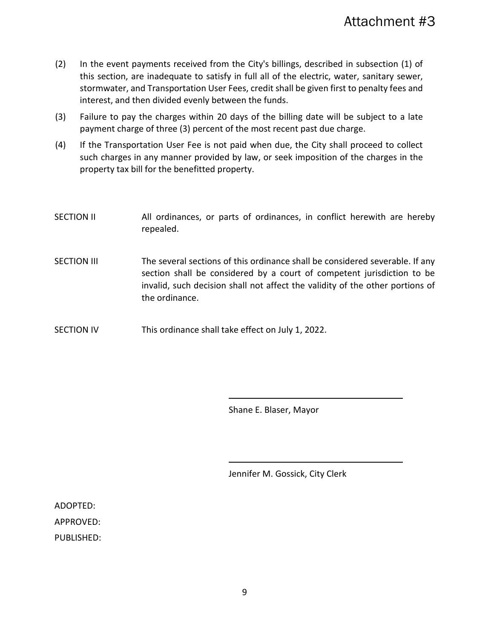- (2) In the event payments received from the City's billings, described in subsection (1) of this section, are inadequate to satisfy in full all of the electric, water, sanitary sewer, stormwater, and Transportation User Fees, credit shall be given first to penalty fees and interest, and then divided evenly between the funds.
- (3) Failure to pay the charges within 20 days of the billing date will be subject to a late payment charge of three (3) percent of the most recent past due charge.
- (4) If the Transportation User Fee is not paid when due, the City shall proceed to collect such charges in any manner provided by law, or seek imposition of the charges in the property tax bill for the benefitted property.

| <b>SECTION II</b>  | All ordinances, or parts of ordinances, in conflict herewith are hereby<br>repealed.                                                                                                                                                                      |
|--------------------|-----------------------------------------------------------------------------------------------------------------------------------------------------------------------------------------------------------------------------------------------------------|
| <b>SECTION III</b> | The several sections of this ordinance shall be considered severable. If any<br>section shall be considered by a court of competent jurisdiction to be<br>invalid, such decision shall not affect the validity of the other portions of<br>the ordinance. |
| <b>SECTION IV</b>  | This ordinance shall take effect on July 1, 2022.                                                                                                                                                                                                         |

Shane E. Blaser, Mayor

Jennifer M. Gossick, City Clerk

ADOPTED:

APPROVED:

PUBLISHED: